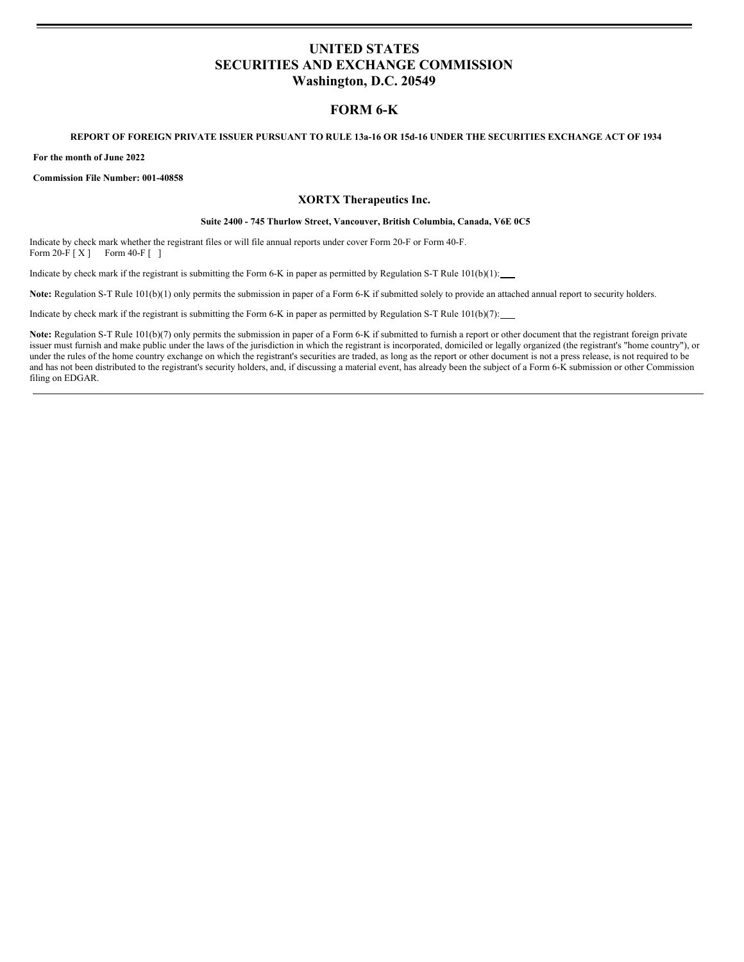# **UNITED STATES SECURITIES AND EXCHANGE COMMISSION Washington, D.C. 20549**

# **FORM 6-K**

#### REPORT OF FOREIGN PRIVATE ISSUER PURSUANT TO RULE 13a-16 OR 15d-16 UNDER THE SECURITIES EXCHANGE ACT OF 1934

**For the month of June 2022**

**Commission File Number: 001-40858**

### **XORTX Therapeutics Inc.**

#### **Suite 2400 - 745 Thurlow Street, Vancouver, British Columbia, Canada, V6E 0C5**

Indicate by check mark whether the registrant files or will file annual reports under cover Form 20-F or Form 40-F. Form 20-F [ X ] Form 40-F [ ]

Indicate by check mark if the registrant is submitting the Form 6-K in paper as permitted by Regulation S-T Rule 101(b)(1):

Note: Regulation S-T Rule 101(b)(1) only permits the submission in paper of a Form 6-K if submitted solely to provide an attached annual report to security holders.

Indicate by check mark if the registrant is submitting the Form 6-K in paper as permitted by Regulation S-T Rule  $101(b)(7)$ :

Note: Regulation S-T Rule 101(b)(7) only permits the submission in paper of a Form 6-K if submitted to furnish a report or other document that the registrant foreign private issuer must furnish and make public under the laws of the jurisdiction in which the registrant is incorporated, domiciled or legally organized (the registrant's "home country"), or under the rules of the home country exchange on which the registrant's securities are traded, as long as the report or other document is not a press release, is not required to be and has not been distributed to the registrant's security holders, and, if discussing a material event, has already been the subject of a Form 6-K submission or other Commission filing on EDGAR.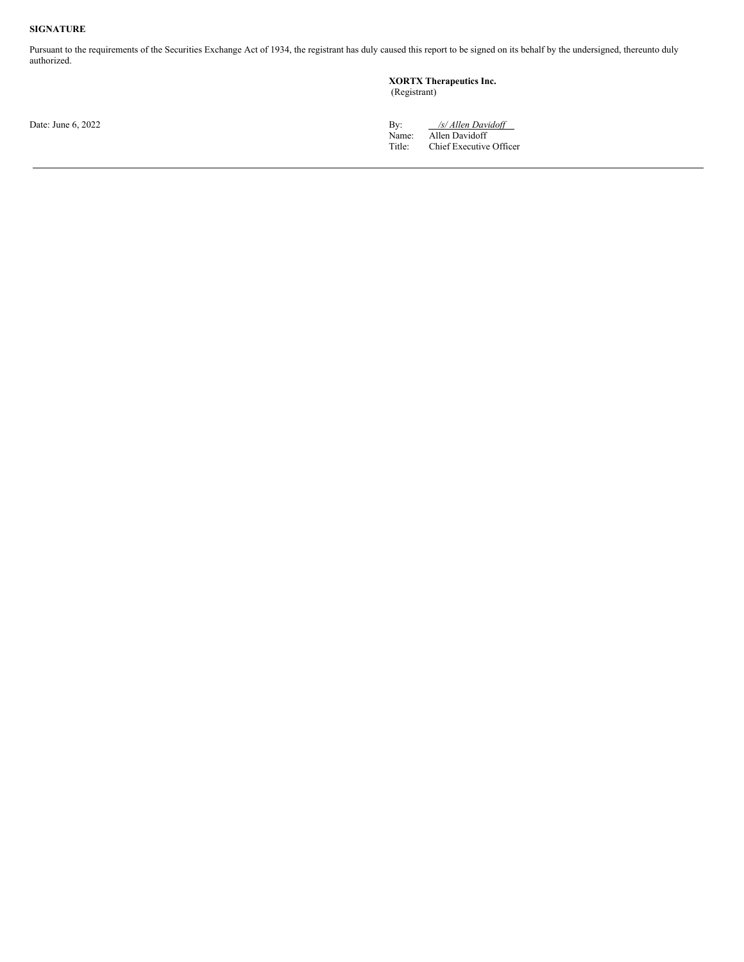### **SIGNATURE**

Pursuant to the requirements of the Securities Exchange Act of 1934, the registrant has duly caused this report to be signed on its behalf by the undersigned, thereunto duly authorized.

#### **XORTX Therapeutics Inc.**

(Registrant)

Date: June 6, 2022 **By:** */s/ Allen Davidoff* Name: Allen Davidoff Title: Chief Executive Officer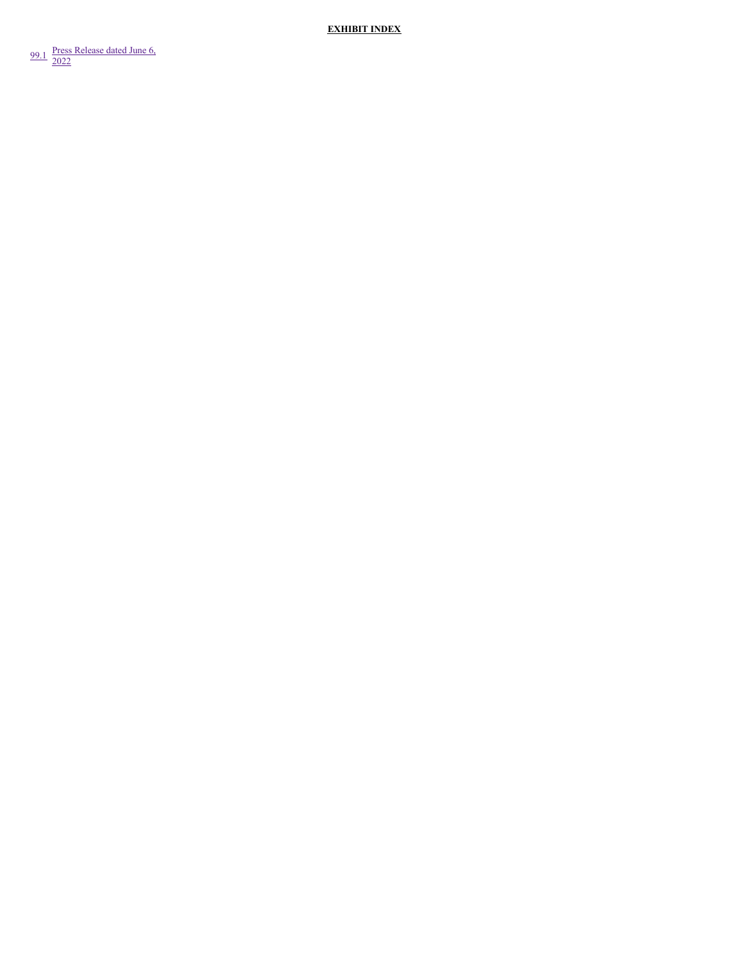**EXHIBIT INDEX** 

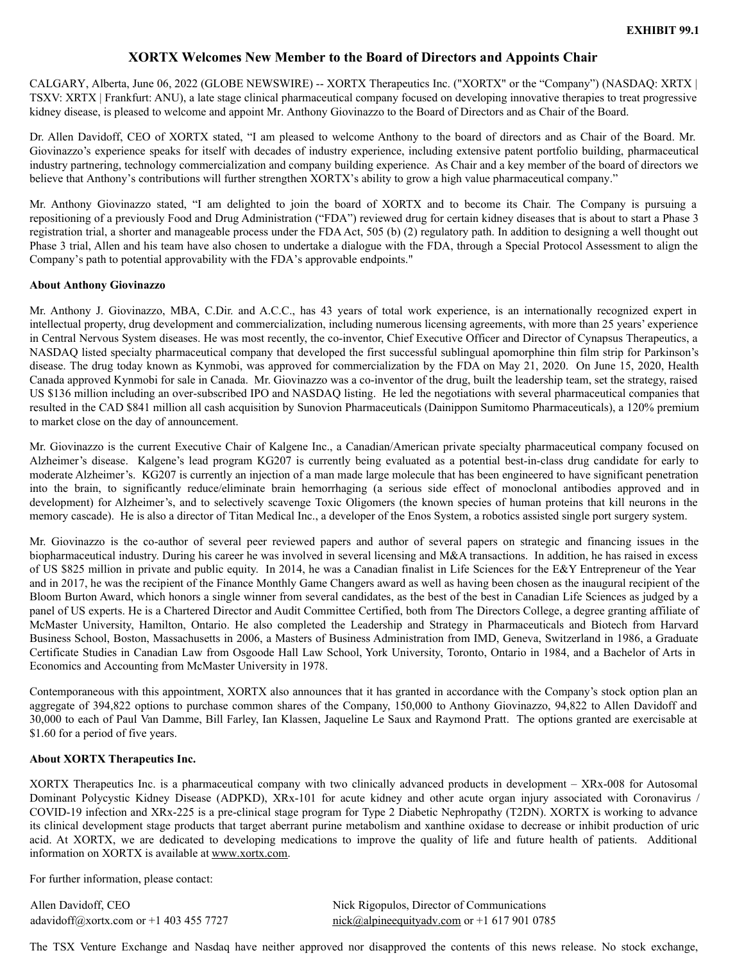## **XORTX Welcomes New Member to the Board of Directors and Appoints Chair**

<span id="page-3-0"></span>CALGARY, Alberta, June 06, 2022 (GLOBE NEWSWIRE) -- XORTX Therapeutics Inc. ("XORTX" or the "Company") (NASDAQ: XRTX | TSXV: XRTX | Frankfurt: ANU), a late stage clinical pharmaceutical company focused on developing innovative therapies to treat progressive kidney disease, is pleased to welcome and appoint Mr. Anthony Giovinazzo to the Board of Directors and as Chair of the Board.

Dr. Allen Davidoff, CEO of XORTX stated, "I am pleased to welcome Anthony to the board of directors and as Chair of the Board. Mr. Giovinazzo's experience speaks for itself with decades of industry experience, including extensive patent portfolio building, pharmaceutical industry partnering, technology commercialization and company building experience. As Chair and a key member of the board of directors we believe that Anthony's contributions will further strengthen XORTX's ability to grow a high value pharmaceutical company."

Mr. Anthony Giovinazzo stated, "I am delighted to join the board of XORTX and to become its Chair. The Company is pursuing a repositioning of a previously Food and Drug Administration ("FDA") reviewed drug for certain kidney diseases that is about to start a Phase 3 registration trial, a shorter and manageable process under the FDA Act, 505 (b) (2) regulatory path. In addition to designing a well thought out Phase 3 trial, Allen and his team have also chosen to undertake a dialogue with the FDA, through a Special Protocol Assessment to align the Company's path to potential approvability with the FDA's approvable endpoints."

### **About Anthony Giovinazzo**

Mr. Anthony J. Giovinazzo, MBA, C.Dir. and A.C.C., has 43 years of total work experience, is an internationally recognized expert in intellectual property, drug development and commercialization, including numerous licensing agreements, with more than 25 years' experience in Central Nervous System diseases. He was most recently, the co-inventor, Chief Executive Officer and Director of Cynapsus Therapeutics, a NASDAQ listed specialty pharmaceutical company that developed the first successful sublingual apomorphine thin film strip for Parkinson's disease. The drug today known as Kynmobi, was approved for commercialization by the FDA on May 21, 2020. On June 15, 2020, Health Canada approved Kynmobi for sale in Canada. Mr. Giovinazzo was a co-inventor of the drug, built the leadership team, set the strategy, raised US \$136 million including an over-subscribed IPO and NASDAQ listing. He led the negotiations with several pharmaceutical companies that resulted in the CAD \$841 million all cash acquisition by Sunovion Pharmaceuticals (Dainippon Sumitomo Pharmaceuticals), a 120% premium to market close on the day of announcement.

Mr. Giovinazzo is the current Executive Chair of Kalgene Inc., a Canadian/American private specialty pharmaceutical company focused on Alzheimer's disease. Kalgene's lead program KG207 is currently being evaluated as a potential best-in-class drug candidate for early to moderate Alzheimer's. KG207 is currently an injection of a man made large molecule that has been engineered to have significant penetration into the brain, to significantly reduce/eliminate brain hemorrhaging (a serious side effect of monoclonal antibodies approved and in development) for Alzheimer's, and to selectively scavenge Toxic Oligomers (the known species of human proteins that kill neurons in the memory cascade). He is also a director of Titan Medical Inc., a developer of the Enos System, a robotics assisted single port surgery system.

Mr. Giovinazzo is the co-author of several peer reviewed papers and author of several papers on strategic and financing issues in the biopharmaceutical industry. During his career he was involved in several licensing and M&A transactions. In addition, he has raised in excess of US \$825 million in private and public equity. In 2014, he was a Canadian finalist in Life Sciences for the E&Y Entrepreneur of the Year and in 2017, he was the recipient of the Finance Monthly Game Changers award as well as having been chosen as the inaugural recipient of the Bloom Burton Award, which honors a single winner from several candidates, as the best of the best in Canadian Life Sciences as judged by a panel of US experts. He is a Chartered Director and Audit Committee Certified, both from The Directors College, a degree granting affiliate of McMaster University, Hamilton, Ontario. He also completed the Leadership and Strategy in Pharmaceuticals and Biotech from Harvard Business School, Boston, Massachusetts in 2006, a Masters of Business Administration from IMD, Geneva, Switzerland in 1986, a Graduate Certificate Studies in Canadian Law from Osgoode Hall Law School, York University, Toronto, Ontario in 1984, and a Bachelor of Arts in Economics and Accounting from McMaster University in 1978.

Contemporaneous with this appointment, XORTX also announces that it has granted in accordance with the Company's stock option plan an aggregate of 394,822 options to purchase common shares of the Company, 150,000 to Anthony Giovinazzo, 94,822 to Allen Davidoff and 30,000 to each of Paul Van Damme, Bill Farley, Ian Klassen, Jaqueline Le Saux and Raymond Pratt. The options granted are exercisable at \$1.60 for a period of five years.

## **About XORTX Therapeutics Inc.**

XORTX Therapeutics Inc. is a pharmaceutical company with two clinically advanced products in development – XRx-008 for Autosomal Dominant Polycystic Kidney Disease (ADPKD), XRx-101 for acute kidney and other acute organ injury associated with Coronavirus / COVID-19 infection and XRx-225 is a pre-clinical stage program for Type 2 Diabetic Nephropathy (T2DN). XORTX is working to advance its clinical development stage products that target aberrant purine metabolism and xanthine oxidase to decrease or inhibit production of uric acid. At XORTX, we are dedicated to developing medications to improve the quality of life and future health of patients. Additional information on XORTX is available at www.xortx.com.

For further information, please contact:

Allen Davidoff, CEO Nick Rigopulos, Director of Communications

adavidoff@xortx.com or +1 403 455 7727 nick@alpineequityadv.com or +1 617 901 0785

The TSX Venture Exchange and Nasdaq have neither approved nor disapproved the contents of this news release. No stock exchange,